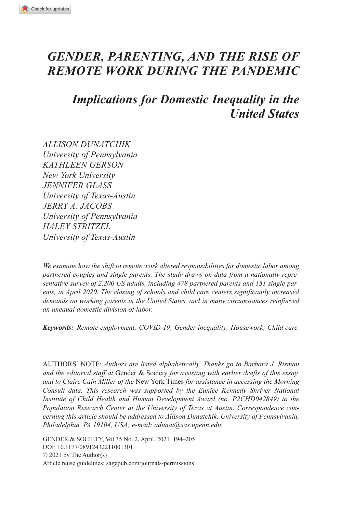# *Gender, Parenting, and The Rise Of Remote Work During the Pandemic*

*Implications for Domestic Inequality in the United States*

*Allison Dunatchik University of Pennsylvania Kathleen Gerson New York University Jennifer Glass University of Texas-Austin Jerry A. Jacobs University of Pennsylvania Haley Stritzel University of Texas-Austin*

*We examine how the shift to remote work altered responsibilities for domestic labor among partnered couples and single parents. The study draws on data from a nationally representative survey of 2,200 US adults, including 478 partnered parents and 151 single parents, in April 2020. The closing of schools and child care centers significantly increased demands on working parents in the United States, and in many circumstances reinforced an unequal domestic division of labor.*

*Keywords: Remote employment; COVID-19; Gender inequality; Housework; Child care*

Authors' Note: *Authors are listed alphabetically. Thanks go to Barbara J. Risman and the editorial staff at* Gender & Society *for assisting with earlier drafts of this essay, and to Claire Cain Miller of the* New York Times *for assistance in accessing the Morning Consult data. This research was supported by the Eunice Kennedy Shriver National Institute of Child Health and Human Development Award (no. P2CHD042849) to the Population Research Center at the University of Texas at Austin. Correspondence concerning this article should be addressed to Allison Dunatchik, University of Pennsylvania, Philadelphia, PA 19104, USA; e-mail: [adunat@sas.upenn.edu](mailto:adunat@sas.upenn.edu).*

DOI: 10.1177/08912432211001301 GENDER & SOCIETY, Vol 35 No. 2, April, 2021 194–205 © 2021 by The Author(s) Article reuse guidelines: sagepub.com/journals-permissions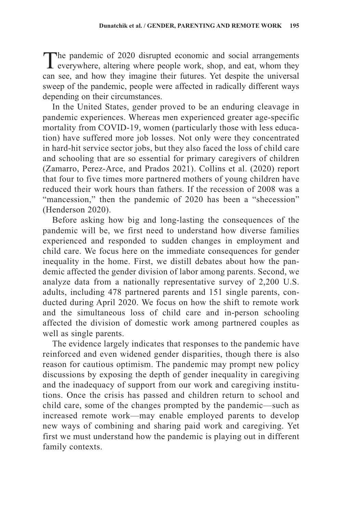The pandemic of 2020 disrupted economic and social arrangements everywhere, altering where people work, shop, and eat, whom they can see, and how they imagine their futures. Yet despite the universal sweep of the pandemic, people were affected in radically different ways depending on their circumstances.

In the United States, gender proved to be an enduring cleavage in pandemic experiences. Whereas men experienced greater age-specific mortality from COVID-19, women (particularly those with less education) have suffered more job losses. Not only were they concentrated in hard-hit service sector jobs, but they also faced the loss of child care and schooling that are so essential for primary caregivers of children (Zamarro, Perez-Arce, and Prados 2021). Collins et al. (2020) report that four to five times more partnered mothers of young children have reduced their work hours than fathers. If the recession of 2008 was a "mancession," then the pandemic of 2020 has been a "shecession" (Henderson 2020).

Before asking how big and long-lasting the consequences of the pandemic will be, we first need to understand how diverse families experienced and responded to sudden changes in employment and child care. We focus here on the immediate consequences for gender inequality in the home. First, we distill debates about how the pandemic affected the gender division of labor among parents. Second, we analyze data from a nationally representative survey of 2,200 U.S. adults, including 478 partnered parents and 151 single parents, conducted during April 2020. We focus on how the shift to remote work and the simultaneous loss of child care and in-person schooling affected the division of domestic work among partnered couples as well as single parents.

The evidence largely indicates that responses to the pandemic have reinforced and even widened gender disparities, though there is also reason for cautious optimism. The pandemic may prompt new policy discussions by exposing the depth of gender inequality in caregiving and the inadequacy of support from our work and caregiving institutions. Once the crisis has passed and children return to school and child care, some of the changes prompted by the pandemic—such as increased remote work—may enable employed parents to develop new ways of combining and sharing paid work and caregiving. Yet first we must understand how the pandemic is playing out in different family contexts.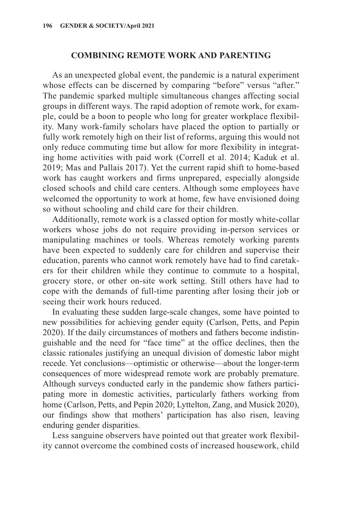#### **Combining Remote Work and Parenting**

As an unexpected global event, the pandemic is a natural experiment whose effects can be discerned by comparing "before" versus "after." The pandemic sparked multiple simultaneous changes affecting social groups in different ways. The rapid adoption of remote work, for example, could be a boon to people who long for greater workplace flexibility. Many work-family scholars have placed the option to partially or fully work remotely high on their list of reforms, arguing this would not only reduce commuting time but allow for more flexibility in integrating home activities with paid work (Correll et al. 2014; Kaduk et al. 2019; Mas and Pallais 2017). Yet the current rapid shift to home-based work has caught workers and firms unprepared, especially alongside closed schools and child care centers. Although some employees have welcomed the opportunity to work at home, few have envisioned doing so without schooling and child care for their children.

Additionally, remote work is a classed option for mostly white-collar workers whose jobs do not require providing in-person services or manipulating machines or tools. Whereas remotely working parents have been expected to suddenly care for children and supervise their education, parents who cannot work remotely have had to find caretakers for their children while they continue to commute to a hospital, grocery store, or other on-site work setting. Still others have had to cope with the demands of full-time parenting after losing their job or seeing their work hours reduced.

In evaluating these sudden large-scale changes, some have pointed to new possibilities for achieving gender equity (Carlson, Petts, and Pepin 2020). If the daily circumstances of mothers and fathers become indistinguishable and the need for "face time" at the office declines, then the classic rationales justifying an unequal division of domestic labor might recede. Yet conclusions—optimistic or otherwise—about the longer-term consequences of more widespread remote work are probably premature. Although surveys conducted early in the pandemic show fathers participating more in domestic activities, particularly fathers working from home (Carlson, Petts, and Pepin 2020; Lyttelton, Zang, and Musick 2020), our findings show that mothers' participation has also risen, leaving enduring gender disparities.

Less sanguine observers have pointed out that greater work flexibility cannot overcome the combined costs of increased housework, child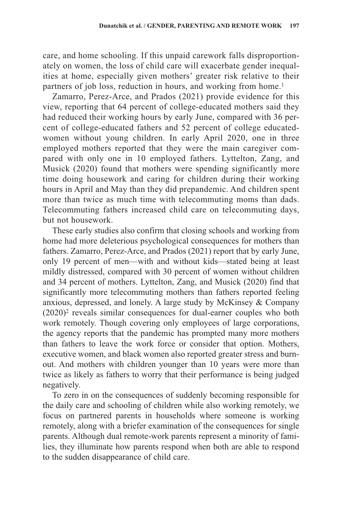care, and home schooling. If this unpaid carework falls disproportionately on women, the loss of child care will exacerbate gender inequalities at home, especially given mothers' greater risk relative to their partners of job loss, reduction in hours, and working from home.<sup>1</sup>

Zamarro, Perez-Arce, and Prados (2021) provide evidence for this view, reporting that 64 percent of college-educated mothers said they had reduced their working hours by early June, compared with 36 percent of college-educated fathers and 52 percent of college educatedwomen without young children. In early April 2020, one in three employed mothers reported that they were the main caregiver compared with only one in 10 employed fathers. Lyttelton, Zang, and Musick (2020) found that mothers were spending significantly more time doing housework and caring for children during their working hours in April and May than they did prepandemic. And children spent more than twice as much time with telecommuting moms than dads. Telecommuting fathers increased child care on telecommuting days, but not housework.

These early studies also confirm that closing schools and working from home had more deleterious psychological consequences for mothers than fathers. Zamarro, Perez-Arce, and Prados (2021) report that by early June, only 19 percent of men—with and without kids—stated being at least mildly distressed, compared with 30 percent of women without children and 34 percent of mothers. Lyttelton, Zang, and Musick (2020) find that significantly more telecommuting mothers than fathers reported feeling anxious, depressed, and lonely. A large study by McKinsey & Company  $(2020)^2$  reveals similar consequences for dual-earner couples who both work remotely. Though covering only employees of large corporations, the agency reports that the pandemic has prompted many more mothers than fathers to leave the work force or consider that option. Mothers, executive women, and black women also reported greater stress and burnout. And mothers with children younger than 10 years were more than twice as likely as fathers to worry that their performance is being judged negatively.

To zero in on the consequences of suddenly becoming responsible for the daily care and schooling of children while also working remotely, we focus on partnered parents in households where someone is working remotely, along with a briefer examination of the consequences for single parents. Although dual remote-work parents represent a minority of families, they illuminate how parents respond when both are able to respond to the sudden disappearance of child care.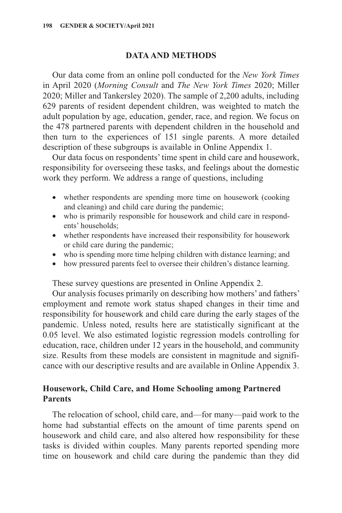# **Data and Methods**

Our data come from an online poll conducted for the *New York Times* in April 2020 (*Morning Consult* and *The New York Times* 2020; Miller 2020; Miller and Tankersley 2020). The sample of 2,200 adults, including 629 parents of resident dependent children, was weighted to match the adult population by age, education, gender, race, and region. We focus on the 478 partnered parents with dependent children in the household and then turn to the experiences of 151 single parents. A more detailed description of these subgroups is available in Online Appendix 1.

Our data focus on respondents' time spent in child care and housework, responsibility for overseeing these tasks, and feelings about the domestic work they perform. We address a range of questions, including

- whether respondents are spending more time on housework (cooking and cleaning) and child care during the pandemic;
- who is primarily responsible for housework and child care in respondents' households;
- whether respondents have increased their responsibility for housework or child care during the pandemic;
- who is spending more time helping children with distance learning; and
- how pressured parents feel to oversee their children's distance learning.

These survey questions are presented in Online Appendix 2.

Our analysis focuses primarily on describing how mothers' and fathers' employment and remote work status shaped changes in their time and responsibility for housework and child care during the early stages of the pandemic. Unless noted, results here are statistically significant at the 0.05 level. We also estimated logistic regression models controlling for education, race, children under 12 years in the household, and community size. Results from these models are consistent in magnitude and significance with our descriptive results and are available in Online Appendix 3.

# **Housework, Child Care, and Home Schooling among Partnered Parents**

The relocation of school, child care, and—for many—paid work to the home had substantial effects on the amount of time parents spend on housework and child care, and also altered how responsibility for these tasks is divided within couples. Many parents reported spending more time on housework and child care during the pandemic than they did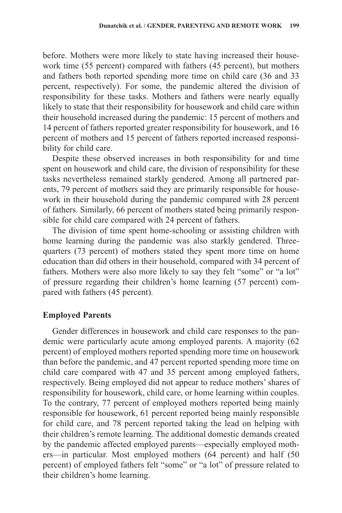before. Mothers were more likely to state having increased their housework time (55 percent) compared with fathers (45 percent), but mothers and fathers both reported spending more time on child care (36 and 33 percent, respectively). For some, the pandemic altered the division of responsibility for these tasks. Mothers and fathers were nearly equally likely to state that their responsibility for housework and child care within their household increased during the pandemic: 15 percent of mothers and 14 percent of fathers reported greater responsibility for housework, and 16 percent of mothers and 15 percent of fathers reported increased responsibility for child care.

Despite these observed increases in both responsibility for and time spent on housework and child care, the division of responsibility for these tasks nevertheless remained starkly gendered. Among all partnered parents, 79 percent of mothers said they are primarily responsible for housework in their household during the pandemic compared with 28 percent of fathers. Similarly, 66 percent of mothers stated being primarily responsible for child care compared with 24 percent of fathers.

The division of time spent home-schooling or assisting children with home learning during the pandemic was also starkly gendered. Threequarters (73 percent) of mothers stated they spent more time on home education than did others in their household, compared with 34 percent of fathers. Mothers were also more likely to say they felt "some" or "a lot" of pressure regarding their children's home learning (57 percent) compared with fathers (45 percent).

#### **Employed Parents**

Gender differences in housework and child care responses to the pandemic were particularly acute among employed parents. A majority (62 percent) of employed mothers reported spending more time on housework than before the pandemic, and 47 percent reported spending more time on child care compared with 47 and 35 percent among employed fathers, respectively. Being employed did not appear to reduce mothers' shares of responsibility for housework, child care, or home learning within couples. To the contrary, 77 percent of employed mothers reported being mainly responsible for housework, 61 percent reported being mainly responsible for child care, and 78 percent reported taking the lead on helping with their children's remote learning. The additional domestic demands created by the pandemic affected employed parents—especially employed mothers—in particular. Most employed mothers (64 percent) and half (50 percent) of employed fathers felt "some" or "a lot" of pressure related to their children's home learning.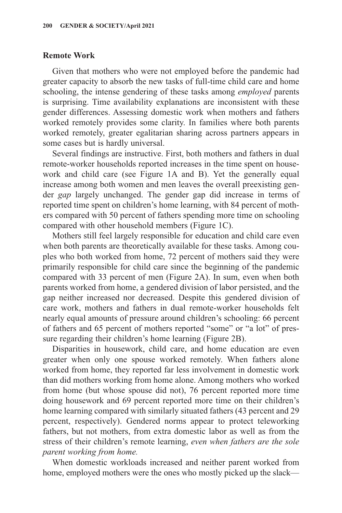# **Remote Work**

Given that mothers who were not employed before the pandemic had greater capacity to absorb the new tasks of full-time child care and home schooling, the intense gendering of these tasks among *employed* parents is surprising. Time availability explanations are inconsistent with these gender differences. Assessing domestic work when mothers and fathers worked remotely provides some clarity. In families where both parents worked remotely, greater egalitarian sharing across partners appears in some cases but is hardly universal.

Several findings are instructive. First, both mothers and fathers in dual remote-worker households reported increases in the time spent on housework and child care (see Figure 1A and B). Yet the generally equal increase among both women and men leaves the overall preexisting gender *gap* largely unchanged. The gender gap did increase in terms of reported time spent on children's home learning, with 84 percent of mothers compared with 50 percent of fathers spending more time on schooling compared with other household members (Figure 1C).

Mothers still feel largely responsible for education and child care even when both parents are theoretically available for these tasks. Among couples who both worked from home, 72 percent of mothers said they were primarily responsible for child care since the beginning of the pandemic compared with 33 percent of men (Figure 2A). In sum, even when both parents worked from home, a gendered division of labor persisted, and the gap neither increased nor decreased. Despite this gendered division of care work, mothers and fathers in dual remote-worker households felt nearly equal amounts of pressure around children's schooling: 66 percent of fathers and 65 percent of mothers reported "some" or "a lot" of pressure regarding their children's home learning (Figure 2B).

Disparities in housework, child care, and home education are even greater when only one spouse worked remotely. When fathers alone worked from home, they reported far less involvement in domestic work than did mothers working from home alone. Among mothers who worked from home (but whose spouse did not), 76 percent reported more time doing housework and 69 percent reported more time on their children's home learning compared with similarly situated fathers (43 percent and 29 percent, respectively). Gendered norms appear to protect teleworking fathers, but not mothers, from extra domestic labor as well as from the stress of their children's remote learning, *even when fathers are the sole parent working from home.*

When domestic workloads increased and neither parent worked from home, employed mothers were the ones who mostly picked up the slack—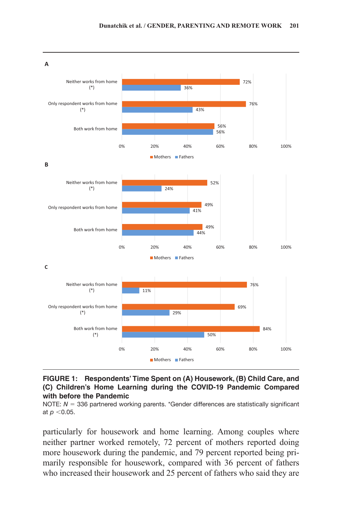

#### **Figure 1: Respondents' Time Spent on (A) Housework, (B) Child Care, and (C) Children's Home Learning during the COVID-19 Pandemic Compared with before the Pandemic**

NOTE:  $N = 336$  partnered working parents. \*Gender differences are statistically significant at *p* <0.05.

particularly for housework and home learning. Among couples where neither partner worked remotely, 72 percent of mothers reported doing more housework during the pandemic, and 79 percent reported being primarily responsible for housework, compared with 36 percent of fathers who increased their housework and 25 percent of fathers who said they are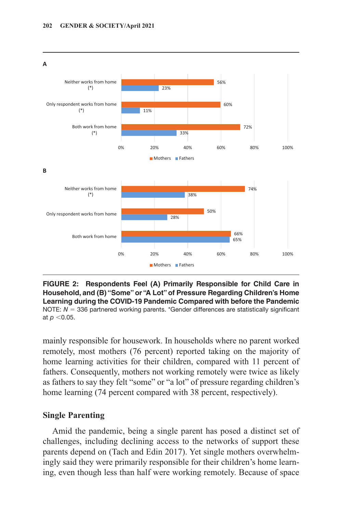

**Figure 2: Respondents Feel (A) Primarily Responsible for Child Care in Household, and (B) "Some" or "A Lot" of Pressure Regarding Children's Home Learning during the COVID-19 Pandemic Compared with before the Pandemic** NOTE:  $N = 336$  partnered working parents. \*Gender differences are statistically significant at *p* <0.05.

mainly responsible for housework. In households where no parent worked remotely, most mothers (76 percent) reported taking on the majority of home learning activities for their children, compared with 11 percent of fathers. Consequently, mothers not working remotely were twice as likely as fathers to say they felt "some" or "a lot" of pressure regarding children's home learning (74 percent compared with 38 percent, respectively).

#### **Single Parenting**

Amid the pandemic, being a single parent has posed a distinct set of challenges, including declining access to the networks of support these parents depend on (Tach and Edin 2017). Yet single mothers overwhelmingly said they were primarily responsible for their children's home learning, even though less than half were working remotely. Because of space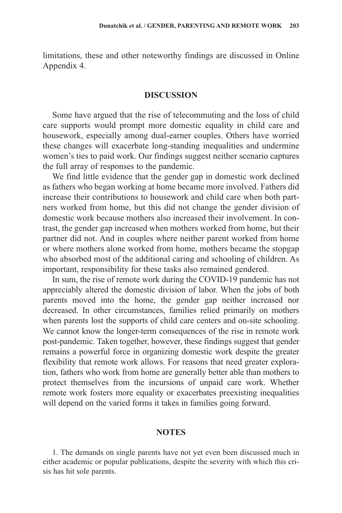limitations, these and other noteworthy findings are discussed in Online Appendix 4.

# **Discussion**

Some have argued that the rise of telecommuting and the loss of child care supports would prompt more domestic equality in child care and housework, especially among dual-earner couples. Others have worried these changes will exacerbate long-standing inequalities and undermine women's ties to paid work. Our findings suggest neither scenario captures the full array of responses to the pandemic.

We find little evidence that the gender gap in domestic work declined as fathers who began working at home became more involved. Fathers did increase their contributions to housework and child care when both partners worked from home, but this did not change the gender division of domestic work because mothers also increased their involvement. In contrast, the gender gap increased when mothers worked from home, but their partner did not. And in couples where neither parent worked from home or where mothers alone worked from home, mothers became the stopgap who absorbed most of the additional caring and schooling of children. As important, responsibility for these tasks also remained gendered.

In sum, the rise of remote work during the COVID-19 pandemic has not appreciably altered the domestic division of labor. When the jobs of both parents moved into the home, the gender gap neither increased nor decreased. In other circumstances, families relied primarily on mothers when parents lost the supports of child care centers and on-site schooling. We cannot know the longer-term consequences of the rise in remote work post-pandemic. Taken together, however, these findings suggest that gender remains a powerful force in organizing domestic work despite the greater flexibility that remote work allows. For reasons that need greater exploration, fathers who work from home are generally better able than mothers to protect themselves from the incursions of unpaid care work. Whether remote work fosters more equality or exacerbates preexisting inequalities will depend on the varied forms it takes in families going forward.

#### **Notes**

1. The demands on single parents have not yet even been discussed much in either academic or popular publications, despite the severity with which this crisis has hit sole parents.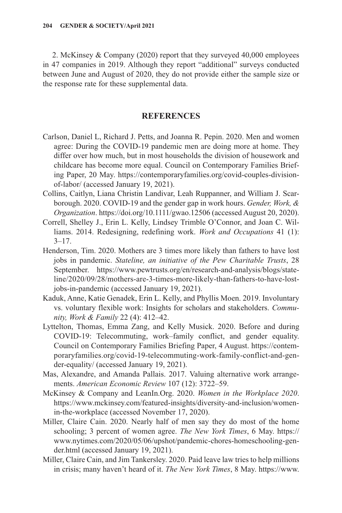2. McKinsey & Company (2020) report that they surveyed 40,000 employees in 47 companies in 2019. Although they report "additional" surveys conducted between June and August of 2020, they do not provide either the sample size or the response rate for these supplemental data.

# **References**

- Carlson, Daniel L, Richard J. Petts, and Joanna R. Pepin. 2020. Men and women agree: During the COVID-19 pandemic men are doing more at home. They differ over how much, but in most households the division of housework and childcare has become more equal. Council on Contemporary Families Briefing Paper, 20 May. [https://contemporaryfamilies.org/covid-couples-division](https://contemporaryfamilies.org/covid-couples-division-of-labor/)[of-labor/](https://contemporaryfamilies.org/covid-couples-division-of-labor/) (accessed January 19, 2021).
- Collins, Caitlyn, Liana Christin Landivar, Leah Ruppanner, and William J. Scarborough. 2020. COVID-19 and the gender gap in work hours. *Gender, Work, & Organization*.<https://doi.org/10.1111/gwao.12506>(accessed August 20, 2020).
- Correll, Shelley J., Erin L. Kelly, Lindsey Trimble O'Connor, and Joan C. Williams. 2014. Redesigning, redefining work. *Work and Occupations* 41 (1):  $3 - 17$ .
- Henderson, Tim. 2020. Mothers are 3 times more likely than fathers to have lost jobs in pandemic. *Stateline, an initiative of the Pew Charitable Trusts*, 28 September. [https://www.pewtrusts.org/en/research-and-analysis/blogs/state](https://www.pewtrusts.org/en/research-and-analysis/blogs/stateline/2020/09/28/mothers-are-3-times-more-likely-than-fathers-to-have-lost-jobs-in-pandemic)[line/2020/09/28/mothers-are-3-times-more-likely-than-fathers-to-have-lost](https://www.pewtrusts.org/en/research-and-analysis/blogs/stateline/2020/09/28/mothers-are-3-times-more-likely-than-fathers-to-have-lost-jobs-in-pandemic)[jobs-in-pandemic](https://www.pewtrusts.org/en/research-and-analysis/blogs/stateline/2020/09/28/mothers-are-3-times-more-likely-than-fathers-to-have-lost-jobs-in-pandemic) (accessed January 19, 2021).
- Kaduk, Anne, Katie Genadek, Erin L. Kelly, and Phyllis Moen. 2019. Involuntary vs. voluntary flexible work: Insights for scholars and stakeholders. *Community, Work & Family* 22 (4): 412–42.
- Lyttelton, Thomas, Emma Zang, and Kelly Musick. 2020. Before and during COVID-19: Telecommuting, work–family conflict, and gender equality. Council on Contemporary Families Briefing Paper, 4 August. [https://contem](https://contemporaryfamilies.org/covid-19-telecommuting-work-family-conflict-and-gender-equality/)[poraryfamilies.org/covid-19-telecommuting-work-family-conflict-and-gen](https://contemporaryfamilies.org/covid-19-telecommuting-work-family-conflict-and-gender-equality/)[der-equality/](https://contemporaryfamilies.org/covid-19-telecommuting-work-family-conflict-and-gender-equality/) (accessed January 19, 2021).
- Mas, Alexandre, and Amanda Pallais. 2017. Valuing alternative work arrangements. *American Economic Review* 107 (12): 3722–59.
- McKinsey & Company and LeanIn.Org. 2020. *Women in the Workplace 2020*. [https://www.mckinsey.com/featured-insights/diversity-and-inclusion/women](https://www.mckinsey.com/featured-insights/diversity-and-inclusion/women-in-the-workplace)[in-the-workplace](https://www.mckinsey.com/featured-insights/diversity-and-inclusion/women-in-the-workplace) (accessed November 17, 2020).
- Miller, Claire Cain. 2020. Nearly half of men say they do most of the home schooling; 3 percent of women agree. *The New York Times*, 6 May. [https://](https://www.nytimes.com/2020/05/06/upshot/pandemic-chores-homeschooling-gender.html) [www.nytimes.com/2020/05/06/upshot/pandemic-chores-homeschooling-gen](https://www.nytimes.com/2020/05/06/upshot/pandemic-chores-homeschooling-gender.html)[der.html](https://www.nytimes.com/2020/05/06/upshot/pandemic-chores-homeschooling-gender.html) (accessed January 19, 2021).
- Miller, Claire Cain, and Jim Tankersley. 2020. Paid leave law tries to help millions in crisis; many haven't heard of it. *The New York Times*, 8 May. [https://www.](https://www.nytimes.com/2020/05/08/upshot/virus-paid-leave-pandemic.html)